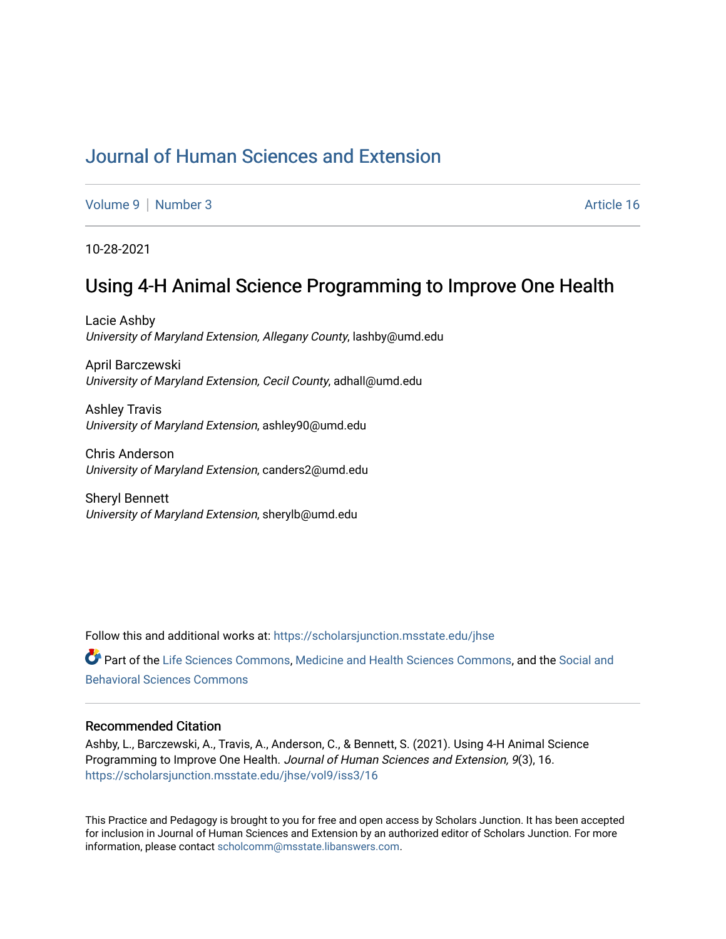# [Journal of Human Sciences and Extension](https://scholarsjunction.msstate.edu/jhse)

[Volume 9](https://scholarsjunction.msstate.edu/jhse/vol9) | [Number 3](https://scholarsjunction.msstate.edu/jhse/vol9/iss3) Article 16

10-28-2021

## Using 4-H Animal Science Programming to Improve One Health

Lacie Ashby University of Maryland Extension, Allegany County, lashby@umd.edu

April Barczewski University of Maryland Extension, Cecil County, adhall@umd.edu

Ashley Travis University of Maryland Extension, ashley90@umd.edu

Chris Anderson University of Maryland Extension, canders2@umd.edu

Sheryl Bennett University of Maryland Extension, sherylb@umd.edu

Follow this and additional works at: [https://scholarsjunction.msstate.edu/jhse](https://scholarsjunction.msstate.edu/jhse?utm_source=scholarsjunction.msstate.edu%2Fjhse%2Fvol9%2Fiss3%2F16&utm_medium=PDF&utm_campaign=PDFCoverPages) Part of the [Life Sciences Commons,](http://network.bepress.com/hgg/discipline/1016?utm_source=scholarsjunction.msstate.edu%2Fjhse%2Fvol9%2Fiss3%2F16&utm_medium=PDF&utm_campaign=PDFCoverPages) [Medicine and Health Sciences Commons,](http://network.bepress.com/hgg/discipline/648?utm_source=scholarsjunction.msstate.edu%2Fjhse%2Fvol9%2Fiss3%2F16&utm_medium=PDF&utm_campaign=PDFCoverPages) and the [Social and](http://network.bepress.com/hgg/discipline/316?utm_source=scholarsjunction.msstate.edu%2Fjhse%2Fvol9%2Fiss3%2F16&utm_medium=PDF&utm_campaign=PDFCoverPages)  [Behavioral Sciences Commons](http://network.bepress.com/hgg/discipline/316?utm_source=scholarsjunction.msstate.edu%2Fjhse%2Fvol9%2Fiss3%2F16&utm_medium=PDF&utm_campaign=PDFCoverPages) 

#### Recommended Citation

Ashby, L., Barczewski, A., Travis, A., Anderson, C., & Bennett, S. (2021). Using 4-H Animal Science Programming to Improve One Health. Journal of Human Sciences and Extension, 9(3), 16. [https://scholarsjunction.msstate.edu/jhse/vol9/iss3/16](https://scholarsjunction.msstate.edu/jhse/vol9/iss3/16?utm_source=scholarsjunction.msstate.edu%2Fjhse%2Fvol9%2Fiss3%2F16&utm_medium=PDF&utm_campaign=PDFCoverPages) 

This Practice and Pedagogy is brought to you for free and open access by Scholars Junction. It has been accepted for inclusion in Journal of Human Sciences and Extension by an authorized editor of Scholars Junction. For more information, please contact [scholcomm@msstate.libanswers.com](mailto:scholcomm@msstate.libanswers.com).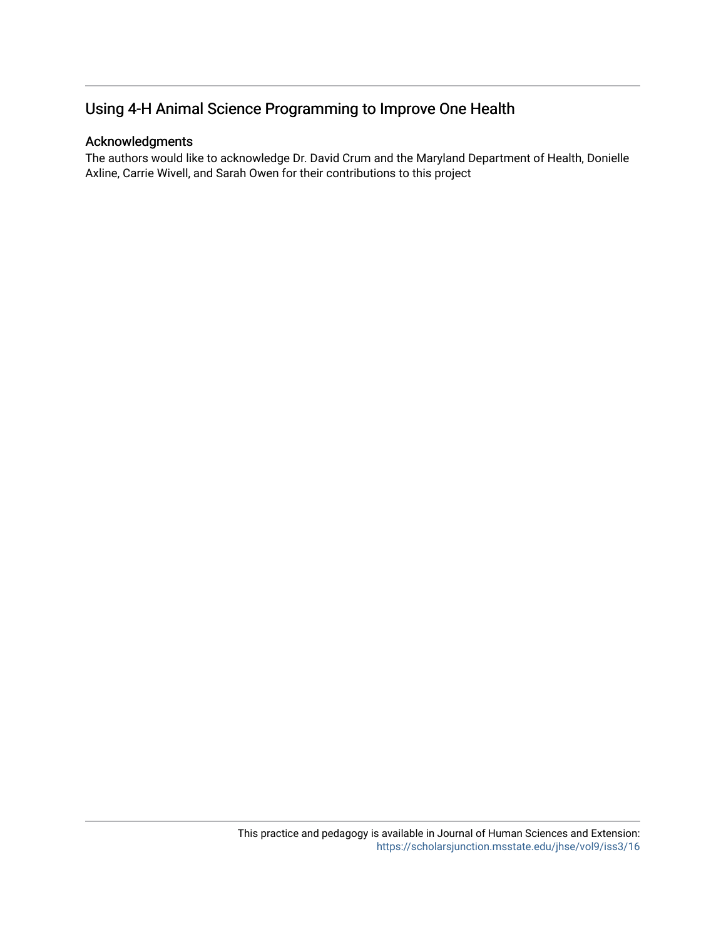### Acknowledgments

The authors would like to acknowledge Dr. David Crum and the Maryland Department of Health, Donielle Axline, Carrie Wivell, and Sarah Owen for their contributions to this project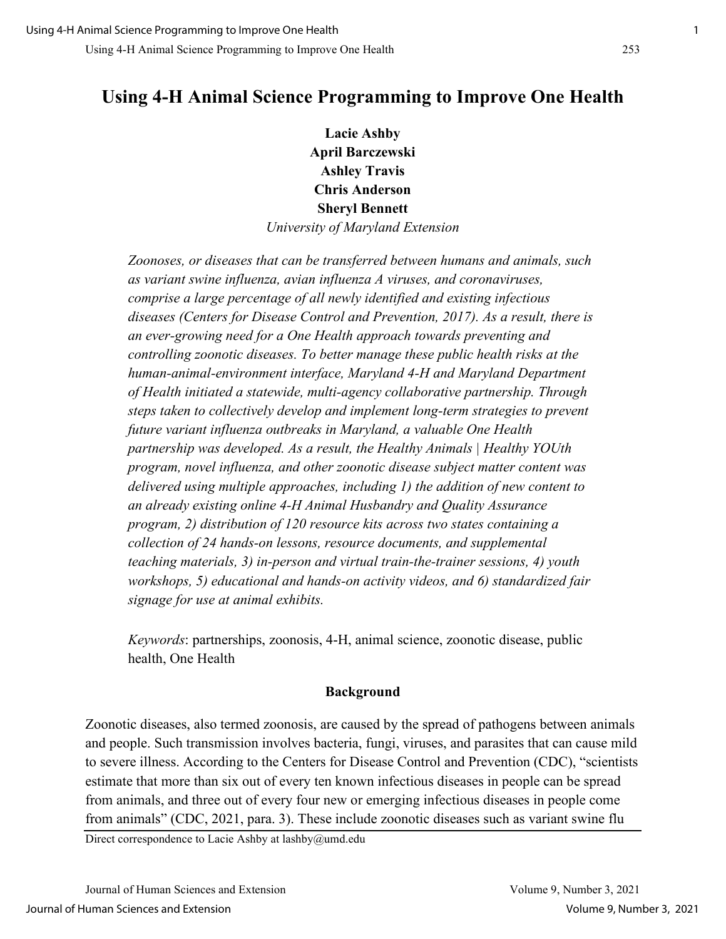**Lacie Ashby April Barczewski Ashley Travis Chris Anderson Sheryl Bennett** *University of Maryland Extension* 

*Zoonoses, or diseases that can be transferred between humans and animals, such as variant swine influenza, avian influenza A viruses, and coronaviruses, comprise a large percentage of all newly identified and existing infectious diseases (Centers for Disease Control and Prevention, 2017). As a result, there is an ever-growing need for a One Health approach towards preventing and controlling zoonotic diseases. To better manage these public health risks at the human-animal-environment interface, Maryland 4-H and Maryland Department of Health initiated a statewide, multi-agency collaborative partnership. Through steps taken to collectively develop and implement long-term strategies to prevent future variant influenza outbreaks in Maryland, a valuable One Health partnership was developed. As a result, the Healthy Animals | Healthy YOUth program, novel influenza, and other zoonotic disease subject matter content was delivered using multiple approaches, including 1) the addition of new content to an already existing online 4-H Animal Husbandry and Quality Assurance program, 2) distribution of 120 resource kits across two states containing a collection of 24 hands-on lessons, resource documents, and supplemental teaching materials, 3) in-person and virtual train-the-trainer sessions, 4) youth workshops, 5) educational and hands-on activity videos, and 6) standardized fair signage for use at animal exhibits.* 

*Keywords*: partnerships, zoonosis, 4-H, animal science, zoonotic disease, public health, One Health

### **Background**

Zoonotic diseases, also termed zoonosis, are caused by the spread of pathogens between animals and people. Such transmission involves bacteria, fungi, viruses, and parasites that can cause mild to severe illness. According to the Centers for Disease Control and Prevention (CDC), "scientists estimate that more than six out of every ten known infectious diseases in people can be spread from animals, and three out of every four new or emerging infectious diseases in people come from animals" (CDC, 2021, para. 3). These include zoonotic diseases such as variant swine flu

Direct correspondence to Lacie Ashby at lashby@umd.edu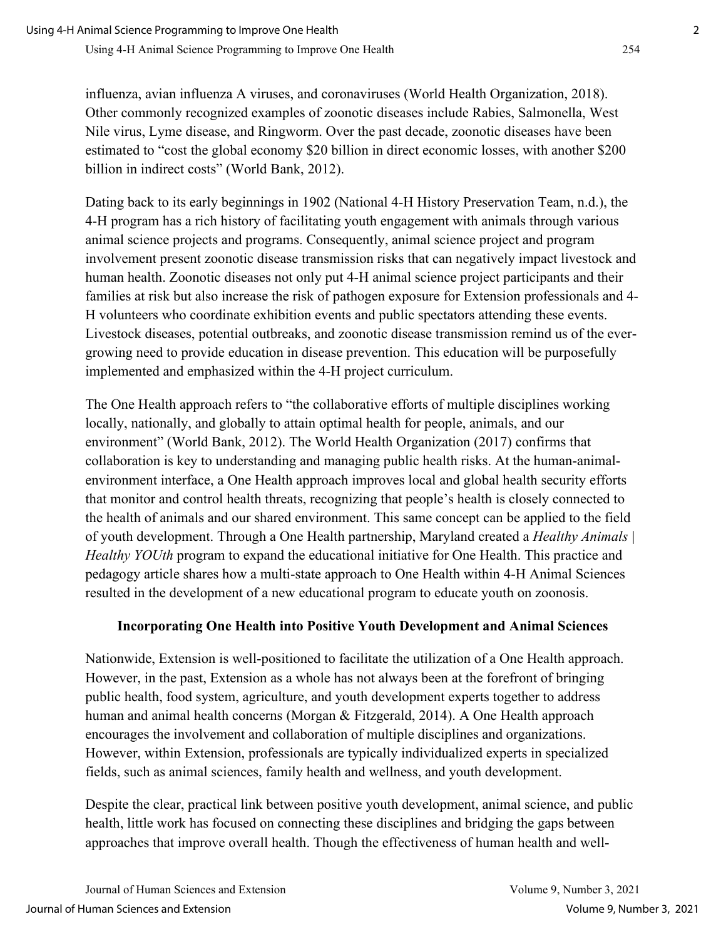influenza, avian influenza A viruses, and coronaviruses (World Health Organization, 2018). Other commonly recognized examples of zoonotic diseases include Rabies, Salmonella, West Nile virus, Lyme disease, and Ringworm. Over the past decade, zoonotic diseases have been estimated to "cost the global economy \$20 billion in direct economic losses, with another \$200 billion in indirect costs" (World Bank, 2012).

Dating back to its early beginnings in 1902 (National 4-H History Preservation Team, n.d.), the 4-H program has a rich history of facilitating youth engagement with animals through various animal science projects and programs. Consequently, animal science project and program involvement present zoonotic disease transmission risks that can negatively impact livestock and human health. Zoonotic diseases not only put 4-H animal science project participants and their families at risk but also increase the risk of pathogen exposure for Extension professionals and 4- H volunteers who coordinate exhibition events and public spectators attending these events. Livestock diseases, potential outbreaks, and zoonotic disease transmission remind us of the evergrowing need to provide education in disease prevention. This education will be purposefully implemented and emphasized within the 4-H project curriculum.

The One Health approach refers to "the collaborative efforts of multiple disciplines working locally, nationally, and globally to attain optimal health for people, animals, and our environment" (World Bank, 2012). The World Health Organization (2017) confirms that collaboration is key to understanding and managing public health risks. At the human-animalenvironment interface, a One Health approach improves local and global health security efforts that monitor and control health threats, recognizing that people's health is closely connected to the health of animals and our shared environment. This same concept can be applied to the field of youth development. Through a One Health partnership, Maryland created a *Healthy Animals | Healthy YOUth* program to expand the educational initiative for One Health. This practice and pedagogy article shares how a multi-state approach to One Health within 4-H Animal Sciences resulted in the development of a new educational program to educate youth on zoonosis.

### **Incorporating One Health into Positive Youth Development and Animal Sciences**

Nationwide, Extension is well-positioned to facilitate the utilization of a One Health approach. However, in the past, Extension as a whole has not always been at the forefront of bringing public health, food system, agriculture, and youth development experts together to address human and animal health concerns (Morgan & Fitzgerald, 2014). A One Health approach encourages the involvement and collaboration of multiple disciplines and organizations. However, within Extension, professionals are typically individualized experts in specialized fields, such as animal sciences, family health and wellness, and youth development.

Despite the clear, practical link between positive youth development, animal science, and public health, little work has focused on connecting these disciplines and bridging the gaps between approaches that improve overall health. Though the effectiveness of human health and well-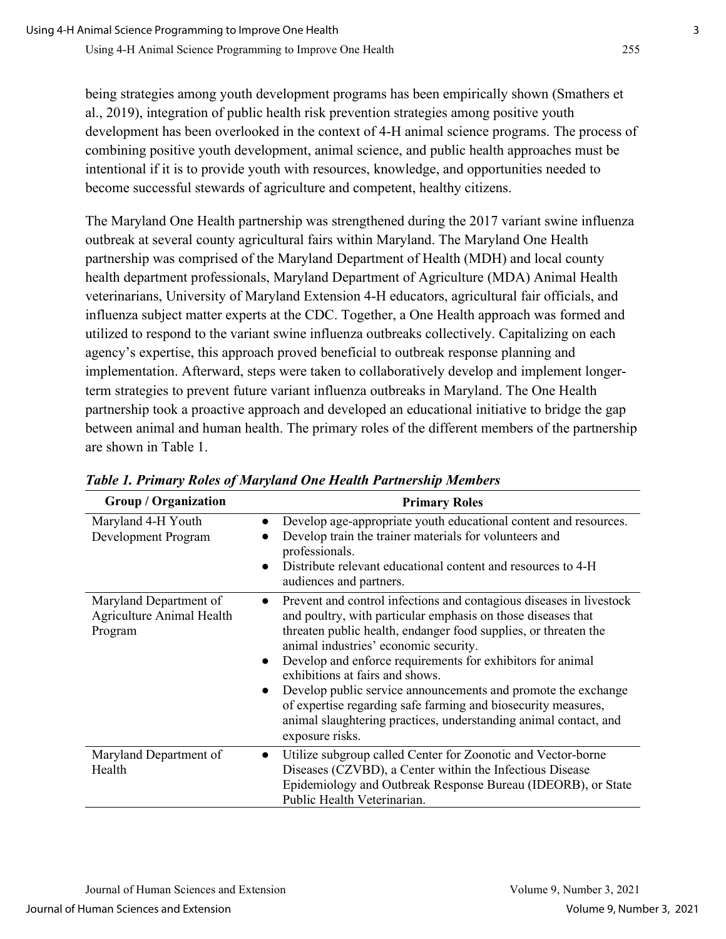being strategies among youth development programs has been empirically shown (Smathers et al., 2019), integration of public health risk prevention strategies among positive youth development has been overlooked in the context of 4-H animal science programs. The process of combining positive youth development, animal science, and public health approaches must be intentional if it is to provide youth with resources, knowledge, and opportunities needed to become successful stewards of agriculture and competent, healthy citizens.

The Maryland One Health partnership was strengthened during the 2017 variant swine influenza outbreak at several county agricultural fairs within Maryland. The Maryland One Health partnership was comprised of the Maryland Department of Health (MDH) and local county health department professionals, Maryland Department of Agriculture (MDA) Animal Health veterinarians, University of Maryland Extension 4-H educators, agricultural fair officials, and influenza subject matter experts at the CDC. Together, a One Health approach was formed and utilized to respond to the variant swine influenza outbreaks collectively. Capitalizing on each agency's expertise, this approach proved beneficial to outbreak response planning and implementation. Afterward, steps were taken to collaboratively develop and implement longerterm strategies to prevent future variant influenza outbreaks in Maryland. The One Health partnership took a proactive approach and developed an educational initiative to bridge the gap between animal and human health. The primary roles of the different members of the partnership are shown in Table 1.

| <b>Group / Organization</b>                                    | <b>Primary Roles</b>                                                                                                                                                                                                                                                                                                                                                                                                                                                                                                                                                                                             |
|----------------------------------------------------------------|------------------------------------------------------------------------------------------------------------------------------------------------------------------------------------------------------------------------------------------------------------------------------------------------------------------------------------------------------------------------------------------------------------------------------------------------------------------------------------------------------------------------------------------------------------------------------------------------------------------|
| Maryland 4-H Youth<br>Development Program                      | Develop age-appropriate youth educational content and resources.<br>$\bullet$<br>Develop train the trainer materials for volunteers and<br>professionals.<br>Distribute relevant educational content and resources to 4-H<br>$\bullet$<br>audiences and partners.                                                                                                                                                                                                                                                                                                                                                |
| Maryland Department of<br>Agriculture Animal Health<br>Program | Prevent and control infections and contagious diseases in livestock<br>$\bullet$<br>and poultry, with particular emphasis on those diseases that<br>threaten public health, endanger food supplies, or threaten the<br>animal industries' economic security.<br>Develop and enforce requirements for exhibitors for animal<br>$\bullet$<br>exhibitions at fairs and shows.<br>Develop public service announcements and promote the exchange<br>$\bullet$<br>of expertise regarding safe farming and biosecurity measures,<br>animal slaughtering practices, understanding animal contact, and<br>exposure risks. |
| Maryland Department of<br>Health                               | Utilize subgroup called Center for Zoonotic and Vector-borne<br>$\bullet$<br>Diseases (CZVBD), a Center within the Infectious Disease<br>Epidemiology and Outbreak Response Bureau (IDEORB), or State<br>Public Health Veterinarian.                                                                                                                                                                                                                                                                                                                                                                             |

*Table 1. Primary Roles of Maryland One Health Partnership Members*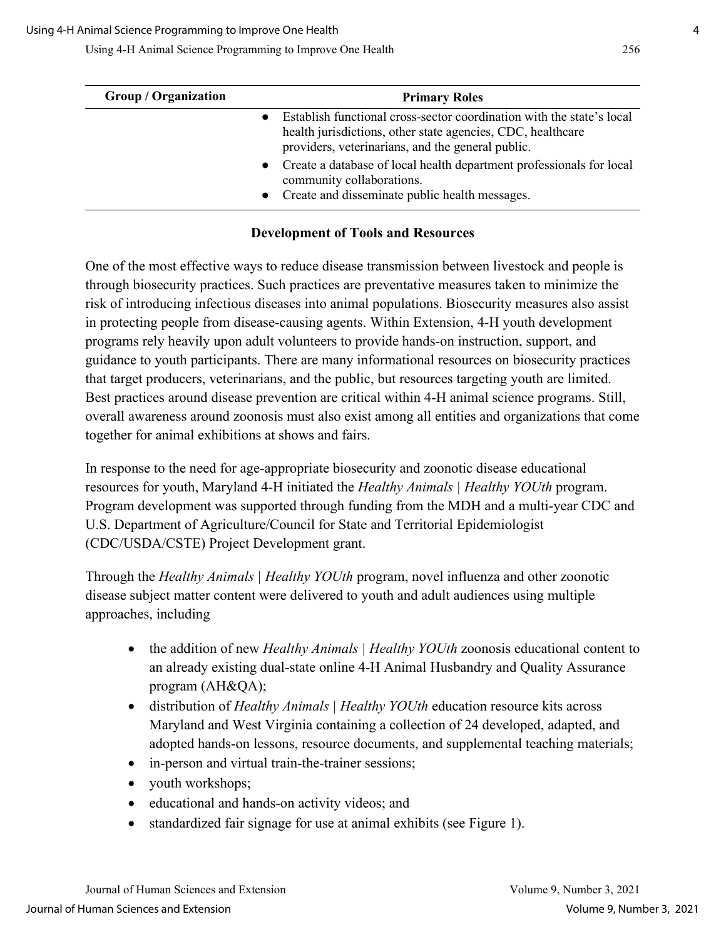| <b>Group / Organization</b> | <b>Primary Roles</b>                                                                                                                                                                      |
|-----------------------------|-------------------------------------------------------------------------------------------------------------------------------------------------------------------------------------------|
|                             | Establish functional cross-sector coordination with the state's local<br>health jurisdictions, other state agencies, CDC, healthcare<br>providers, veterinarians, and the general public. |
|                             | Create a database of local health department professionals for local<br>community collaborations.<br>• Create and disseminate public health messages.                                     |

### **Development of Tools and Resources**

One of the most effective ways to reduce disease transmission between livestock and people is through biosecurity practices. Such practices are preventative measures taken to minimize the risk of introducing infectious diseases into animal populations. Biosecurity measures also assist in protecting people from disease-causing agents. Within Extension, 4-H youth development programs rely heavily upon adult volunteers to provide hands-on instruction, support, and guidance to youth participants. There are many informational resources on biosecurity practices that target producers, veterinarians, and the public, but resources targeting youth are limited. Best practices around disease prevention are critical within 4-H animal science programs. Still, overall awareness around zoonosis must also exist among all entities and organizations that come together for animal exhibitions at shows and fairs.

In response to the need for age-appropriate biosecurity and zoonotic disease educational resources for youth, Maryland 4-H initiated the *Healthy Animals | Healthy YOUth* program. Program development was supported through funding from the MDH and a multi-year CDC and U.S. Department of Agriculture/Council for State and Territorial Epidemiologist (CDC/USDA/CSTE) Project Development grant.

Through the *Healthy Animals | Healthy YOUth* program, novel influenza and other zoonotic disease subject matter content were delivered to youth and adult audiences using multiple approaches, including

- the addition of new *Healthy Animals | Healthy YOUth zoonosis* educational content to an already existing dual-state online 4-H Animal Husbandry and Quality Assurance program (AH&QA);
- distribution of *Healthy Animals | Healthy YOUth* education resource kits across Maryland and West Virginia containing a collection of 24 developed, adapted, and adopted hands-on lessons, resource documents, and supplemental teaching materials;
- in-person and virtual train-the-trainer sessions;
- youth workshops;
- educational and hands-on activity videos; and
- standardized fair signage for use at animal exhibits (see Figure 1).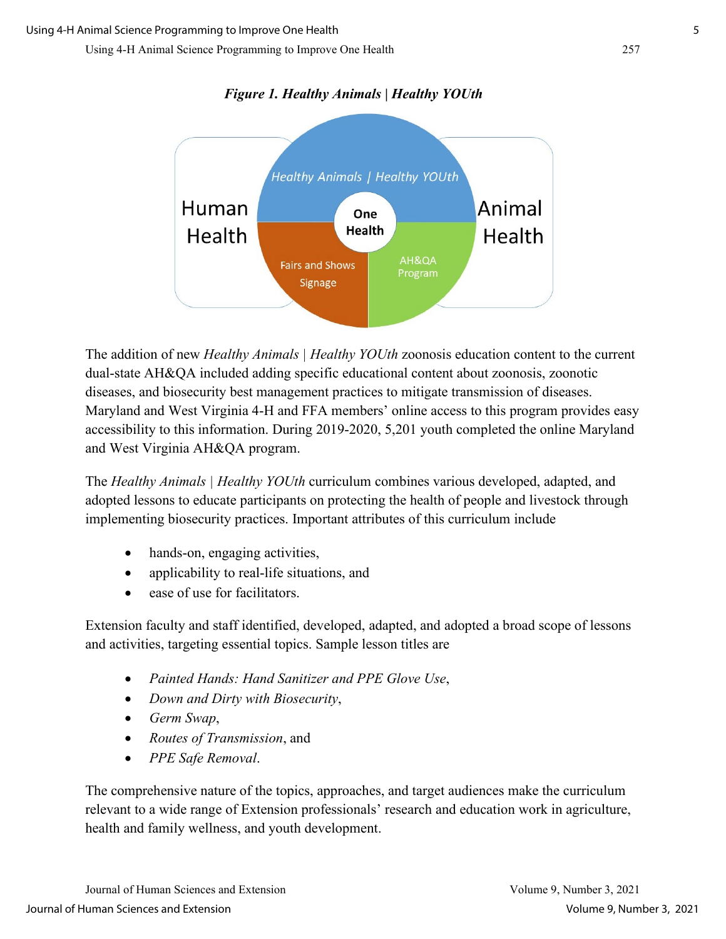

#### *Figure 1. Healthy Animals | Healthy YOUth*

The addition of new *Healthy Animals | Healthy YOUth* zoonosis education content to the current dual-state AH&QA included adding specific educational content about zoonosis, zoonotic diseases, and biosecurity best management practices to mitigate transmission of diseases. Maryland and West Virginia 4-H and FFA members' online access to this program provides easy accessibility to this information. During 2019-2020, 5,201 youth completed the online Maryland and West Virginia AH&QA program.

The *Healthy Animals | Healthy YOUth* curriculum combines various developed, adapted, and adopted lessons to educate participants on protecting the health of people and livestock through implementing biosecurity practices. Important attributes of this curriculum include

- hands-on, engaging activities,
- applicability to real-life situations, and
- ease of use for facilitators.

Extension faculty and staff identified, developed, adapted, and adopted a broad scope of lessons and activities, targeting essential topics. Sample lesson titles are

- *Painted Hands: Hand Sanitizer and PPE Glove Use*,
- *Down and Dirty with Biosecurity*,
- *Germ Swap*,
- *Routes of Transmission*, and
- *PPE Safe Removal*.

The comprehensive nature of the topics, approaches, and target audiences make the curriculum relevant to a wide range of Extension professionals' research and education work in agriculture, health and family wellness, and youth development.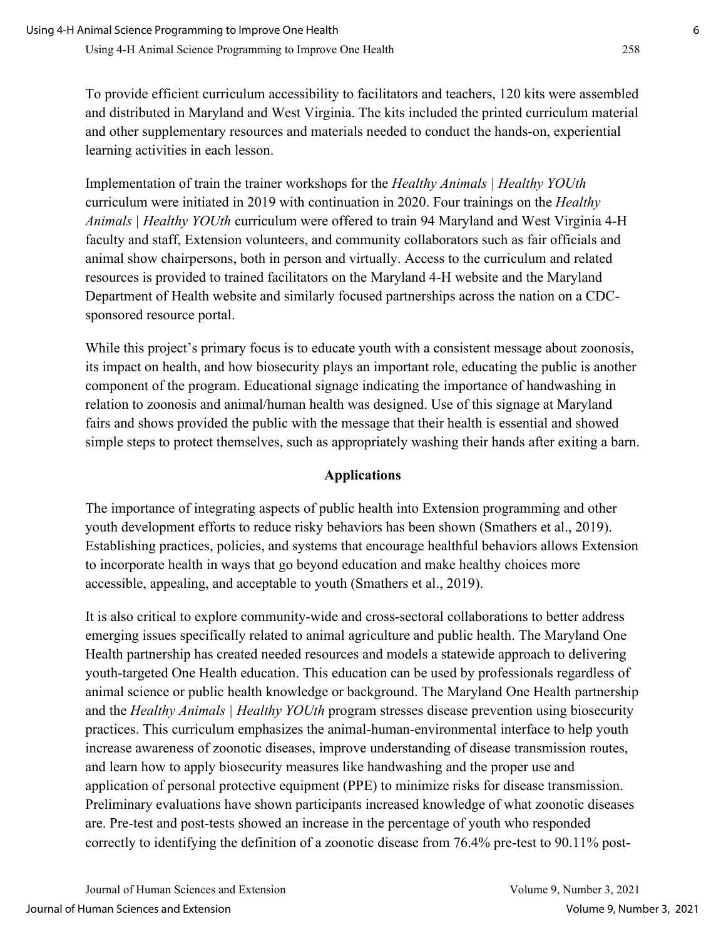To provide efficient curriculum accessibility to facilitators and teachers, 120 kits were assembled and distributed in Maryland and West Virginia. The kits included the printed curriculum material and other supplementary resources and materials needed to conduct the hands-on, experiential learning activities in each lesson.

Implementation of train the trainer workshops for the *Healthy Animals | Healthy YOUth* curriculum were initiated in 2019 with continuation in 2020. Four trainings on the *Healthy Animals | Healthy YOUth* curriculum were offered to train 94 Maryland and West Virginia 4-H faculty and staff, Extension volunteers, and community collaborators such as fair officials and animal show chairpersons, both in person and virtually. Access to the curriculum and related resources is provided to trained facilitators on the Maryland 4-H website and the Maryland Department of Health website and similarly focused partnerships across the nation on a CDCsponsored resource portal.

While this project's primary focus is to educate youth with a consistent message about zoonosis, its impact on health, and how biosecurity plays an important role, educating the public is another component of the program. Educational signage indicating the importance of handwashing in relation to zoonosis and animal/human health was designed. Use of this signage at Maryland fairs and shows provided the public with the message that their health is essential and showed simple steps to protect themselves, such as appropriately washing their hands after exiting a barn.

### **Applications**

The importance of integrating aspects of public health into Extension programming and other youth development efforts to reduce risky behaviors has been shown (Smathers et al., 2019). Establishing practices, policies, and systems that encourage healthful behaviors allows Extension to incorporate health in ways that go beyond education and make healthy choices more accessible, appealing, and acceptable to youth (Smathers et al., 2019).

It is also critical to explore community-wide and cross-sectoral collaborations to better address emerging issues specifically related to animal agriculture and public health. The Maryland One Health partnership has created needed resources and models a statewide approach to delivering youth-targeted One Health education. This education can be used by professionals regardless of animal science or public health knowledge or background. The Maryland One Health partnership and the *Healthy Animals | Healthy YOUth* program stresses disease prevention using biosecurity practices. This curriculum emphasizes the animal-human-environmental interface to help youth increase awareness of zoonotic diseases, improve understanding of disease transmission routes, and learn how to apply biosecurity measures like handwashing and the proper use and application of personal protective equipment (PPE) to minimize risks for disease transmission. Preliminary evaluations have shown participants increased knowledge of what zoonotic diseases are. Pre-test and post-tests showed an increase in the percentage of youth who responded correctly to identifying the definition of a zoonotic disease from 76.4% pre-test to 90.11% post-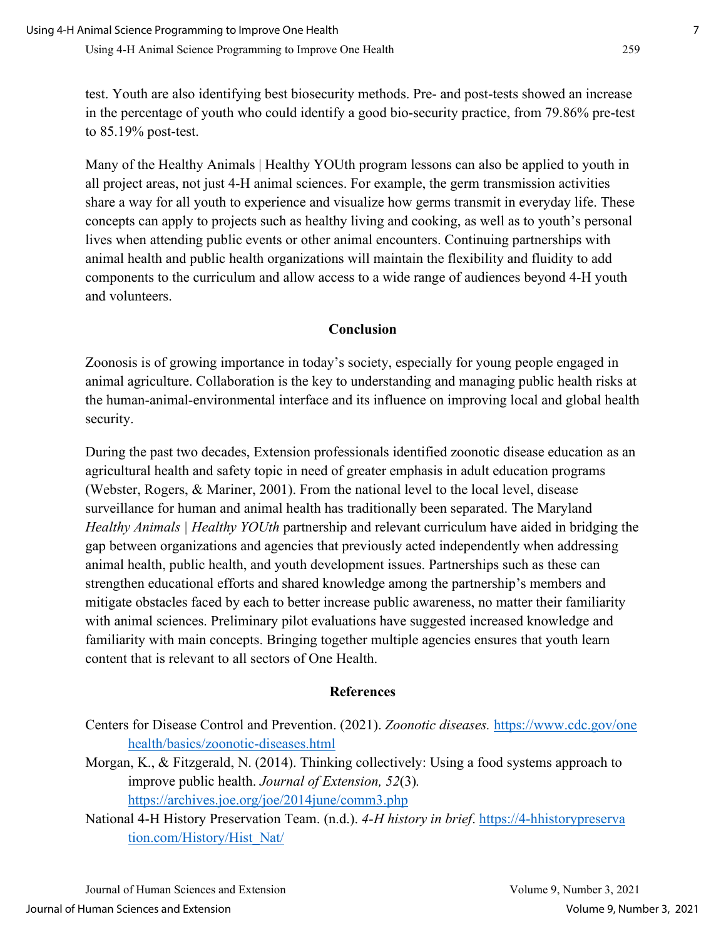test. Youth are also identifying best biosecurity methods. Pre- and post-tests showed an increase in the percentage of youth who could identify a good bio-security practice, from 79.86% pre-test to 85.19% post-test.

Many of the Healthy Animals | Healthy YOUth program lessons can also be applied to youth in all project areas, not just 4-H animal sciences. For example, the germ transmission activities share a way for all youth to experience and visualize how germs transmit in everyday life. These concepts can apply to projects such as healthy living and cooking, as well as to youth's personal lives when attending public events or other animal encounters. Continuing partnerships with animal health and public health organizations will maintain the flexibility and fluidity to add components to the curriculum and allow access to a wide range of audiences beyond 4-H youth and volunteers.

#### **Conclusion**

Zoonosis is of growing importance in today's society, especially for young people engaged in animal agriculture. Collaboration is the key to understanding and managing public health risks at the human-animal-environmental interface and its influence on improving local and global health security.

During the past two decades, Extension professionals identified zoonotic disease education as an agricultural health and safety topic in need of greater emphasis in adult education programs (Webster, Rogers, & Mariner, 2001). From the national level to the local level, disease surveillance for human and animal health has traditionally been separated. The Maryland *Healthy Animals | Healthy YOUth* partnership and relevant curriculum have aided in bridging the gap between organizations and agencies that previously acted independently when addressing animal health, public health, and youth development issues. Partnerships such as these can strengthen educational efforts and shared knowledge among the partnership's members and mitigate obstacles faced by each to better increase public awareness, no matter their familiarity with animal sciences. Preliminary pilot evaluations have suggested increased knowledge and familiarity with main concepts. Bringing together multiple agencies ensures that youth learn content that is relevant to all sectors of One Health.

#### **References**

- Centers for Disease Control and Prevention. (2021). *Zoonotic diseases.* [https://www.cdc.gov/one](https://www.cdc.gov/onehealth/basics/zoonotic-diseases.html)  [health/basics/zoonotic-diseases.html](https://www.cdc.gov/onehealth/basics/zoonotic-diseases.html)
- Morgan, K., & Fitzgerald, N. (2014). Thinking collectively: Using a food systems approach to improve public health. *Journal of Extension, 52*(3)*.* <https://archives.joe.org/joe/2014june/comm3.php>
- National 4-H History Preservation Team. (n.d.). *4-H history in brief*. [https://4-hhistorypreserva](https://4-hhistorypreservation.com/History/Hist_Nat/)  [tion.com/History/Hist\\_Nat/](https://4-hhistorypreservation.com/History/Hist_Nat/)

Journal of Human Sciences and Extension Volume 9, Number 3, 2021 Journal of Human Sciences and Extension Volume 9, Number 3, 2021